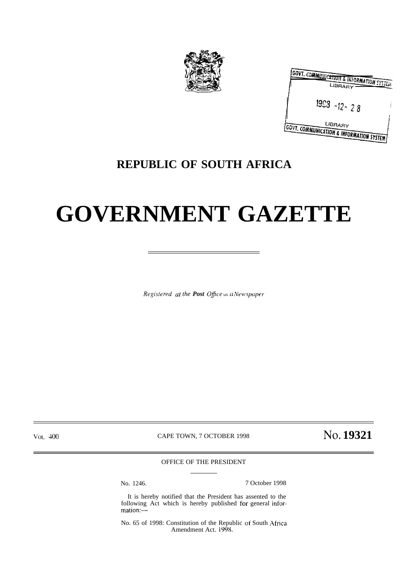

| GOVT. COMMUSICATION & INFORMATION SYSTEM<br>LIBRARY   |  |
|-------------------------------------------------------|--|
| $1953 - 12 - 28$                                      |  |
| LIBRARY<br>GOVT. COMMUNICATION & INFORMATION SYSTEM ! |  |

### **REPUBLIC OF SOUTH AFRICA**

# **GOVERNMENT GAZETTE**

Registered at the Post Office us a Newspaper

Vol. 400

CAPE TOWN, 7 OCTOBER 1998

No. 19321

OFFICE OF THE PRESIDENT

No. 1246.

7 October 1998

It is hereby notified that the President has assented to the following Act which is hereby published for general information:-

No. 65 of 1998: Constitution of the Republic of South Africa Amendment Act. 1998.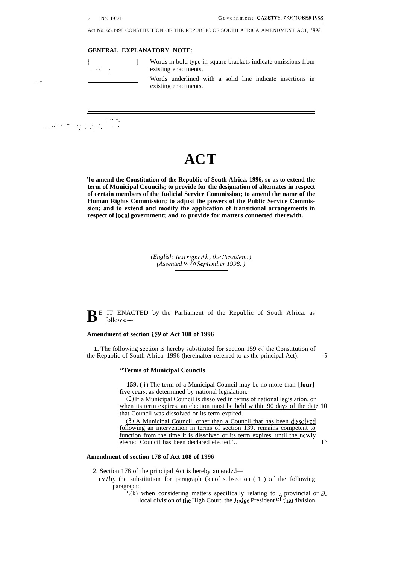Act No. 65.1998 CONSTITUTION OF THE REPUBLIC OF SOUTH AFRICA AMENDMENT ACT, 1998

#### **GENERAL EXPLANATORY NOTE:**

. .

[ <sup>1</sup> Words in bold type in square brackets indicate omissions from existing enactments.

> Words underlined with a solid line indicate insertions in existing enactments.

--- -,. . . ..-..".".,".' . . . . . . . .

## **ACT**

**To amend the Constitution of the Republic of South Africa, 1996, so as to extend the term of Municipal Councils; to provide for the designation of alternates in respect of certain members of the Judicial Service Commission; to amend the name of the Human Rights Commission; to adjust the powers of the Public Service Commission; and to extend and modify the application of transitional arrangements in respect of IocaI government; and to provide for matters connected therewith.**

> *(English text signed by the President.) (Assented to 28 September 1998.)*

 $\mathbf{B}$ <sup>E</sup> IT ENACTED by the Parliament of the Republic of South Africa. as follows: follows:-

#### **Amendment of section 159 of Act 108 of 1996**

**1.** The following section is hereby substituted for section 159 of the Constitution of the Republic of South Africa. 1996 (hereinafter referred to as the principal Act): 5

#### **"Terms of Municipal Councils**

**159. ( 1 )** The term of a Municipal Council may be no more than **[four]** five years. as determined by national legislation.

(2) If a Municipal Council is dissolved in terms of national legislation. or when its term expires. an election must be held within 90 days of the date 10 that Council was dissolved or its term expired.

 $(3)$  A Municipal Council. other than a Council that has been dissolved following an intervention in terms of section 139. remains competent to function from the time it is dissolved or its term expires. until the newly elected Council has been declared elected.'.. 15

#### **Amendment of section 178 of Act 108 of 1996**

2. Section 178 of the principal Act is hereby amended—

- (a) by the substitution for paragraph (k) of subsection (1) of the following paragraph:
	- '.(k) when considering matters specifically relating to a provincial or 20 local division of the High Court. the Judge President <sup>of</sup> that division